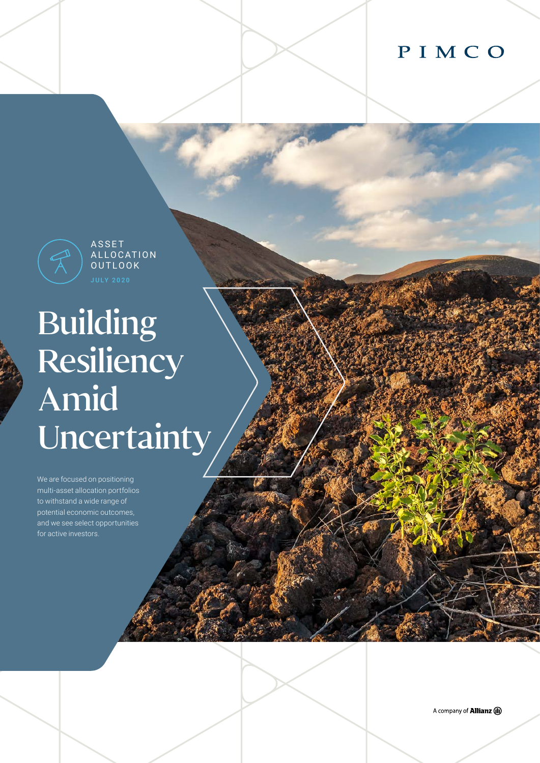# PIMCO



**ASSET** A L LO CAT I O N OUTLOOK

# Building **Resiliency** Amid **Uncertainty**

We are focused on positioning multi-asset allocation portfolios to withstand a wide range of potential economic outcomes, and we see select opportunities for active investors.

A company of **Allianz** (II)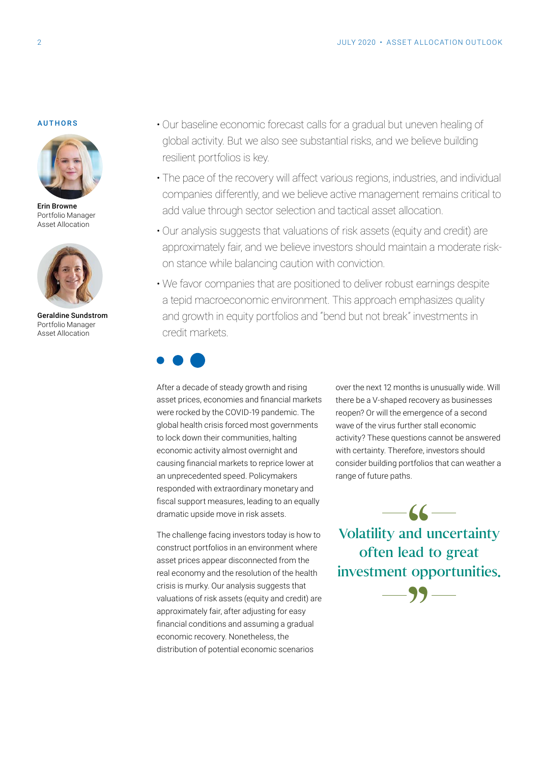#### AUTHORS



Erin Browne Portfolio Manager Asset Allocation



Geraldine Sundstrom Portfolio Manager Asset Allocation

- Our baseline economic forecast calls for a gradual but uneven healing of global activity. But we also see substantial risks, and we believe building resilient portfolios is key.
- The pace of the recovery will affect various regions, industries, and individual companies differently, and we believe active management remains critical to add value through sector selection and tactical asset allocation.
- Our analysis suggests that valuations of risk assets (equity and credit) are approximately fair, and we believe investors should maintain a moderate riskon stance while balancing caution with conviction.
- We favor companies that are positioned to deliver robust earnings despite a tepid macroeconomic environment. This approach emphasizes quality and growth in equity portfolios and "bend but not break" investments in credit markets.



After a decade of steady growth and rising asset prices, economies and financial markets were rocked by the COVID-19 pandemic. The global health crisis forced most governments to lock down their communities, halting economic activity almost overnight and causing financial markets to reprice lower at an unprecedented speed. Policymakers responded with extraordinary monetary and fiscal support measures, leading to an equally dramatic upside move in risk assets.

The challenge facing investors today is how to construct portfolios in an environment where asset prices appear disconnected from the real economy and the resolution of the health crisis is murky. Our analysis suggests that valuations of risk assets (equity and credit) are approximately fair, after adjusting for easy financial conditions and assuming a gradual economic recovery. Nonetheless, the distribution of potential economic scenarios

over the next 12 months is unusually wide. Will there be a V-shaped recovery as businesses reopen? Or will the emergence of a second wave of the virus further stall economic activity? These questions cannot be answered with certainty. Therefore, investors should consider building portfolios that can weather a range of future paths.

 $-$  66  $-$ Volatility and uncertainty often lead to great investment opportunities.

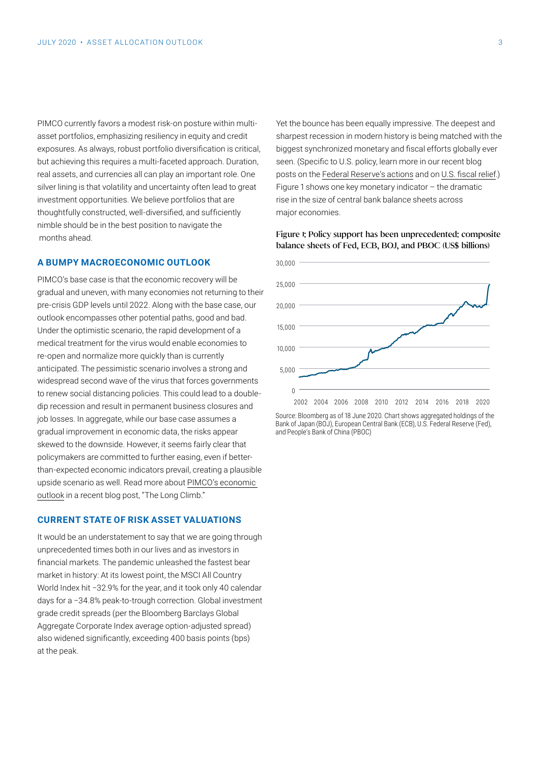PIMCO currently favors a modest risk-on posture within multiasset portfolios, emphasizing resiliency in equity and credit exposures. As always, robust portfolio diversification is critical, but achieving this requires a multi-faceted approach. Duration, real assets, and currencies all can play an important role. One silver lining is that volatility and uncertainty often lead to great investment opportunities. We believe portfolios that are thoughtfully constructed, well-diversified, and sufficiently nimble should be in the best position to navigate the months ahead.

#### **A BUMPY MACROECONOMIC OUTLOOK**

PIMCO's base case is that the economic recovery will be gradual and uneven, with many economies not returning to their pre-crisis GDP levels until 2022. Along with the base case, our outlook encompasses other potential paths, good and bad. Under the optimistic scenario, the rapid development of a medical treatment for the virus would enable economies to re-open and normalize more quickly than is currently anticipated. The pessimistic scenario involves a strong and widespread second wave of the virus that forces governments to renew social distancing policies. This could lead to a doubledip recession and result in permanent business closures and job losses. In aggregate, while our base case assumes a gradual improvement in economic data, the risks appear skewed to the downside. However, it seems fairly clear that policymakers are committed to further easing, even if betterthan-expected economic indicators prevail, creating a plausible upside scenario as well. Read more about [PIMCO's economic](https://blog.pimco.com/en/2020/06/the-long-climb)  [outlook](https://blog.pimco.com/en/2020/06/the-long-climb) in a recent blog post, "The Long Climb."

#### **CURRENT STATE OF RISK ASSET VALUATIONS**

It would be an understatement to say that we are going through unprecedented times both in our lives and as investors in financial markets. The pandemic unleashed the fastest bear market in history: At its lowest point, the MSCI All Country World Index hit −32.9% for the year, and it took only 40 calendar days for a −34.8% peak-to-trough correction. Global investment grade credit spreads (per the Bloomberg Barclays Global Aggregate Corporate Index average option-adjusted spread) also widened significantly, exceeding 400 basis points (bps) at the peak.

Yet the bounce has been equally impressive. The deepest and sharpest recession in modern history is being matched with the biggest synchronized monetary and fiscal efforts globally ever seen. (Specific to U.S. policy, learn more in our recent blog posts on the [Federal Reserve's actions](https://blog.pimco.com/en/2020/06/fed-shifting-focus-from-crisis-management-to-easy-financial-conditions) and on [U.S. fiscal relief.](https://blog.pimco.com/en/2020/05/six-key-questions-on-us-policy-and-the-economic-outlook)) Figure 1 shows one key monetary indicator  $-$  the dramatic rise in the size of central bank balance sheets across major economies.

#### Figure 1: Policy support has been unprecedented: composite balance sheets of Fed, ECB, BOJ, and PBOC (US\$ billions)



Source: Bloomberg as of 18 June 2020. Chart shows aggregated holdings of the Bank of Japan (BOJ), European Central Bank (ECB), U.S. Federal Reserve (Fed), and People's Bank of China (PBOC)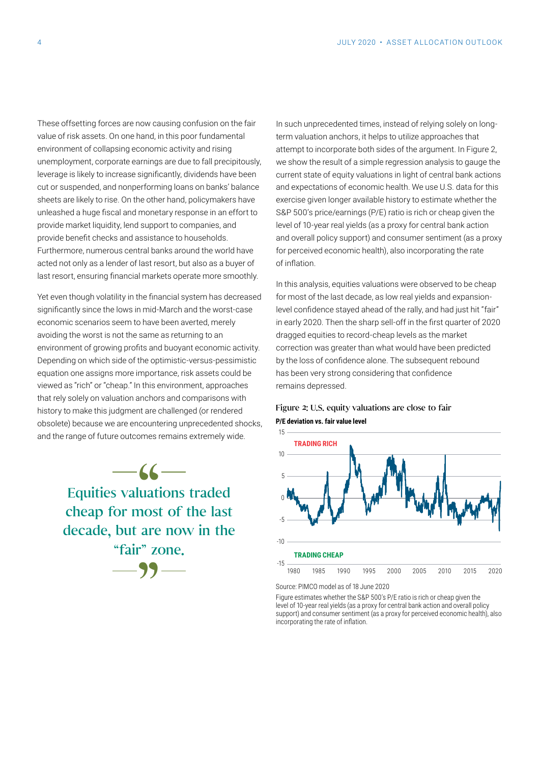These offsetting forces are now causing confusion on the fair value of risk assets. On one hand, in this poor fundamental environment of collapsing economic activity and rising unemployment, corporate earnings are due to fall precipitously, leverage is likely to increase significantly, dividends have been cut or suspended, and nonperforming loans on banks' balance sheets are likely to rise. On the other hand, policymakers have unleashed a huge fiscal and monetary response in an effort to provide market liquidity, lend support to companies, and provide benefit checks and assistance to households. Furthermore, numerous central banks around the world have acted not only as a lender of last resort, but also as a buyer of last resort, ensuring financial markets operate more smoothly.

Yet even though volatility in the financial system has decreased significantly since the lows in mid-March and the worst-case economic scenarios seem to have been averted, merely avoiding the worst is not the same as returning to an environment of growing profits and buoyant economic activity. Depending on which side of the optimistic-versus-pessimistic equation one assigns more importance, risk assets could be viewed as "rich" or "cheap." In this environment, approaches that rely solely on valuation anchors and comparisons with history to make this judgment are challenged (or rendered obsolete) because we are encountering unprecedented shocks, and the range of future outcomes remains extremely wide.

> $-66-$ —99— Equities valuations traded cheap for most of the last decade, but are now in the "fair" zone.

In such unprecedented times, instead of relying solely on longterm valuation anchors, it helps to utilize approaches that attempt to incorporate both sides of the argument. In Figure 2, we show the result of a simple regression analysis to gauge the current state of equity valuations in light of central bank actions and expectations of economic health. We use U.S. data for this exercise given longer available history to estimate whether the S&P 500's price/earnings (P/E) ratio is rich or cheap given the level of 10-year real yields (as a proxy for central bank action and overall policy support) and consumer sentiment (as a proxy for perceived economic health), also incorporating the rate of inflation.

In this analysis, equities valuations were observed to be cheap for most of the last decade, as low real yields and expansionlevel confidence stayed ahead of the rally, and had just hit "fair" in early 2020. Then the sharp sell-off in the first quarter of 2020 dragged equities to record-cheap levels as the market correction was greater than what would have been predicted by the loss of confidence alone. The subsequent rebound has been very strong considering that confidence remains depressed.

#### Figure 2: U.S. equity valuations are close to fair **P/E deviation vs. fair value level**



Source: PIMCO model as of 18 June 2020

Figure estimates whether the S&P 500's P/E ratio is rich or cheap given the level of 10-year real yields (as a proxy for central bank action and overall policy support) and consumer sentiment (as a proxy for perceived economic health), also incorporating the rate of inflation.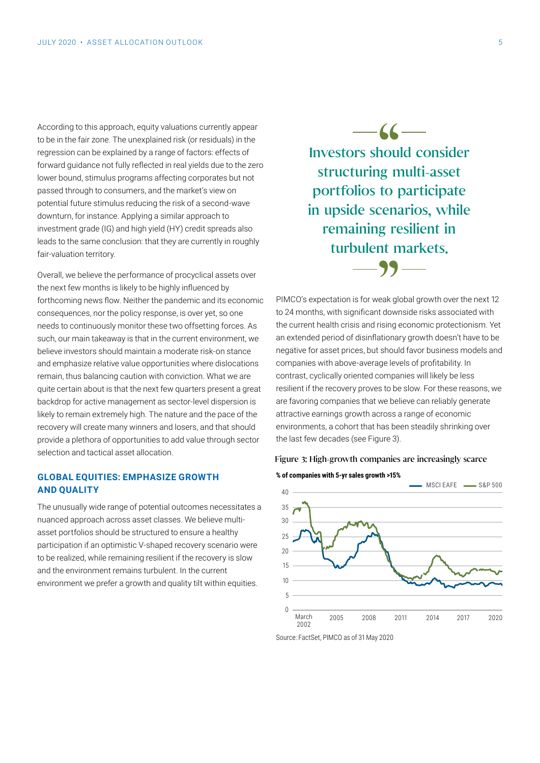According to this approach, equity valuations currently appear to be in the fair zone. The unexplained risk (or residuals) in the regression can be explained by a range of factors: effects of forward guidance not fully reflected in real yields due to the zero lower bound, stimulus programs affecting corporates but not passed through to consumers, and the market's view on potential future stimulus reducing the risk of a second-wave downturn, for instance. Applying a similar approach to investment grade (IG) and high yield (HY) credit spreads also leads to the same conclusion: that they are currently in roughly fair-valuation territory.

Overall, we believe the performance of procyclical assets over the next few months is likely to be highly influenced by forthcoming news flow. Neither the pandemic and its economic consequences, nor the policy response, is over yet, so one needs to continuously monitor these two offsetting forces. As such, our main takeaway is that in the current environment, we believe investors should maintain a moderate risk-on stance and emphasize relative value opportunities where dislocations remain, thus balancing caution with conviction. What we are quite certain about is that the next few quarters present a great backdrop for active management as sector-level dispersion is likely to remain extremely high. The nature and the pace of the recovery will create many winners and losers, and that should provide a plethora of opportunities to add value through sector selection and tactical asset allocation.

#### **GLOBAL EQUITIES: EMPHASIZE GROWTH AND QUALITY**

The unusually wide range of potential outcomes necessitates a nuanced approach across asset classes. We believe multiasset portfolios should be structured to ensure a healthy participation if an optimistic V-shaped recovery scenario were to be realized, while remaining resilient if the recovery is slow and the environment remains turbulent. In the current environment we prefer a growth and quality tilt within equities.

 $\frac{66}{2}$  hou Investors should consider structuring multi-asset portfolios to participate in upside scenarios, while remaining resilient in turbulent markets.

PIMCO's expectation is for weak global growth over the next 12 and **24** months, with significant downside risks associated with to 24 months, with significant downside risks associated with the current health crisis and rising economic protectionism. Yet an extended period of disinflationary growth doesn't have to be negative for asset prices, but should favor business models and companies with above-average levels of profitability. In contrast, cyclically oriented companies will likely be less resilient if the recovery proves to be slow. For these reasons, we are favoring companies that we believe can reliably generate attractive earnings growth across a range of economic environments, a cohort that has been steadily shrinking over the last few decades (see Figure 3).





Source: FactSet, PIMCO as of 31 May 2020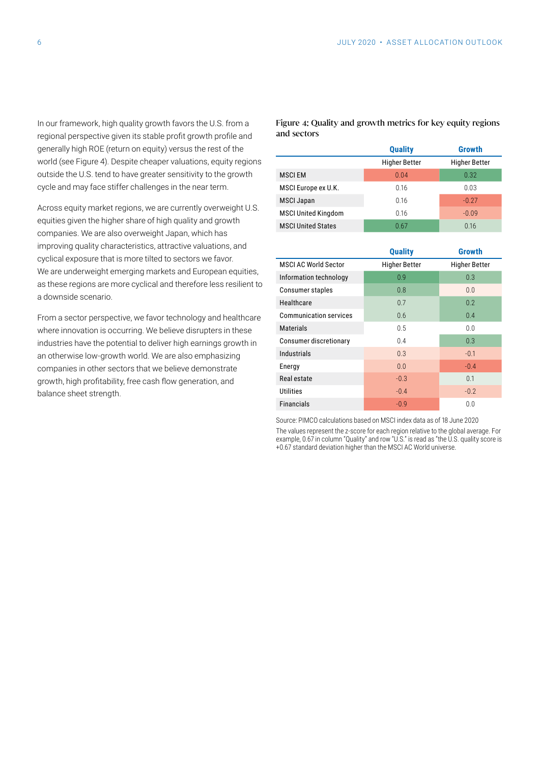In our framework, high quality growth favors the U.S. from a regional perspective given its stable profit growth profile and generally high ROE (return on equity) versus the rest of the world (see Figure 4). Despite cheaper valuations, equity regions outside the U.S. tend to have greater sensitivity to the growth cycle and may face stiffer challenges in the near term.

Across equity market regions, we are currently overweight U.S. equities given the higher share of high quality and growth companies. We are also overweight Japan, which has improving quality characteristics, attractive valuations, and cyclical exposure that is more tilted to sectors we favor. We are underweight emerging markets and European equities, as these regions are more cyclical and therefore less resilient to a downside scenario.

From a sector perspective, we favor technology and healthcare where innovation is occurring. We believe disrupters in these industries have the potential to deliver high earnings growth in an otherwise low-growth world. We are also emphasizing companies in other sectors that we believe demonstrate growth, high profitability, free cash flow generation, and balance sheet strength.

#### Figure 4: Quality and growth metrics for key equity regions and sectors

|                            | <b>Quality</b>       | Growth               |
|----------------------------|----------------------|----------------------|
|                            | <b>Higher Better</b> | <b>Higher Better</b> |
| <b>MSCIEM</b>              | 0.04                 | 0.32                 |
| MSCI Europe ex U.K.        | 0.16                 | 0.03                 |
| <b>MSCI Japan</b>          | 0.16                 | $-0.27$              |
| <b>MSCI United Kingdom</b> | 0.16                 | $-0.09$              |
| <b>MSCI United States</b>  | 0.67                 | 0.16                 |

|                               | <b>Quality</b>       | Growth               |
|-------------------------------|----------------------|----------------------|
| <b>MSCI AC World Sector</b>   | <b>Higher Better</b> | <b>Higher Better</b> |
| Information technology        | 0.9                  | 0.3                  |
| Consumer staples              | 0.8                  | 0.0                  |
| Healthcare                    | 0.7                  | 0.2                  |
| <b>Communication services</b> | 0.6                  | 0.4                  |
| <b>Materials</b>              | 0.5                  | 0.0                  |
| Consumer discretionary        | 0.4                  | 0.3                  |
| <b>Industrials</b>            | 0.3                  | $-0.1$               |
| Energy                        | 0.0                  | $-0.4$               |
| Real estate                   | $-0.3$               | 0.1                  |
| <b>Utilities</b>              | $-0.4$               | $-0.2$               |
| <b>Financials</b>             | $-0.9$               | 0.0                  |

Source: PIMCO calculations based on MSCI index data as of 18 June 2020 The values represent the z-score for each region relative to the global average. For example, 0.67 in column "Quality" and row "U.S." is read as "the U.S. quality score is +0.67 standard deviation higher than the MSCI AC World universe.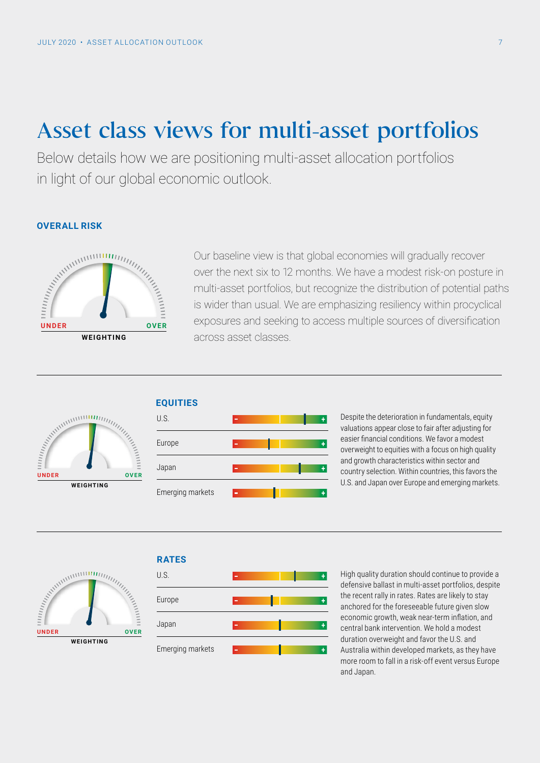# Asset class views for multi-asset portfolios

Below details how we are positioning multi-asset allocation portfolios in light of our global economic outlook.

#### **OVERALL RISK**



Our baseline view is that global economies will gradually recover over the next six to 12 months. We have a modest risk-on posture in multi-asset portfolios, but recognize the distribution of potential paths is wider than usual. We are emphasizing resiliency within procyclical exposures and seeking to access multiple sources of diversification across asset classes.







Despite the deterioration in fundamentals, equity valuations appear close to fair after adjusting for easier financial conditions. We favor a modest overweight to equities with a focus on high quality and growth characteristics within sector and country selection. Within countries, this favors the U.S. and Japan over Europe and emerging markets.



## **RATES**



High quality duration should continue to provide a defensive ballast in multi-asset portfolios, despite the recent rally in rates. Rates are likely to stay anchored for the foreseeable future given slow economic growth, weak near-term inflation, and central bank intervention. We hold a modest duration overweight and favor the U.S. and Australia within developed markets, as they have more room to fall in a risk-off event versus Europe and Japan.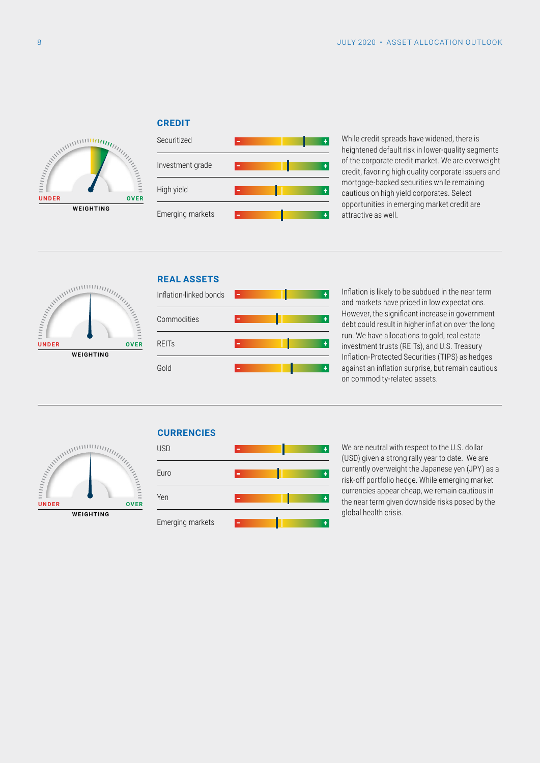#### **CREDIT**



| Securitized      | $\mathbf{r}$   |  |
|------------------|----------------|--|
| Investment grade | m.             |  |
| High yield       | $\blacksquare$ |  |
| Emerging markets | m.             |  |

While credit spreads have widened, there is heightened default risk in lower-quality segments of the corporate credit market. We are overweight credit, favoring high quality corporate issuers and mortgage-backed securities while remaining cautious on high yield corporates. Select opportunities in emerging market credit are attractive as well.



## Inflation-linked bonds **REAL ASSETS**



 $\overline{1}$ 

Inflation is likely to be subdued in the near term and markets have priced in low expectations. However, the significant increase in government debt could result in higher inflation over the long run. We have allocations to gold, real estate investment trusts (REITs), and U.S. Treasury Inflation-Protected Securities (TIPS) as hedges against an inflation surprise, but remain cautious on commodity-related assets.



### **CURRENCIES**



We are neutral with respect to the U.S. dollar (USD) given a strong rally year to date. We are currently overweight the Japanese yen (JPY) as a risk-off portfolio hedge. While emerging market currencies appear cheap, we remain cautious in the near term given downside risks posed by the global health crisis.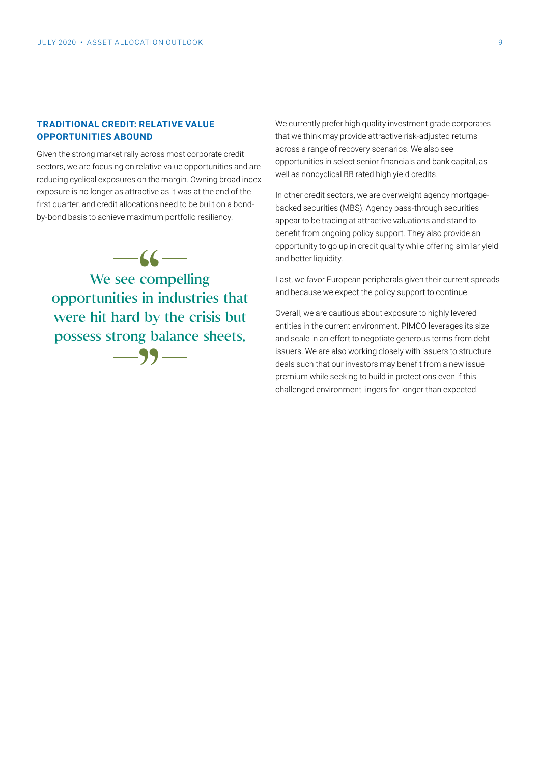#### **TRADITIONAL CREDIT: RELATIVE VALUE OPPORTUNITIES ABOUND**

Given the strong market rally across most corporate credit sectors, we are focusing on relative value opportunities and are reducing cyclical exposures on the margin. Owning broad index exposure is no longer as attractive as it was at the end of the first quarter, and credit allocations need to be built on a bondby-bond basis to achieve maximum portfolio resiliency.

 $-6 -99-$ We see compelling opportunities in industries that were hit hard by the crisis but possess strong balance sheets.

We currently prefer high quality investment grade corporates that we think may provide attractive risk-adjusted returns across a range of recovery scenarios. We also see opportunities in select senior financials and bank capital, as well as noncyclical BB rated high yield credits.

In other credit sectors, we are overweight agency mortgagebacked securities (MBS). Agency pass-through securities appear to be trading at attractive valuations and stand to benefit from ongoing policy support. They also provide an opportunity to go up in credit quality while offering similar yield and better liquidity.

Last, we favor European peripherals given their current spreads and because we expect the policy support to continue.

Overall, we are cautious about exposure to highly levered entities in the current environment. PIMCO leverages its size and scale in an effort to negotiate generous terms from debt issuers. We are also working closely with issuers to structure deals such that our investors may benefit from a new issue premium while seeking to build in protections even if this challenged environment lingers for longer than expected.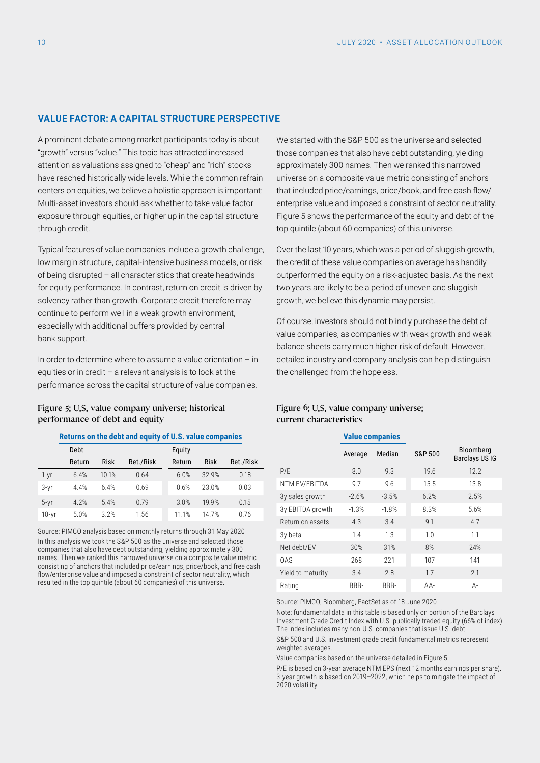#### **VALUE FACTOR: A CAPITAL STRUCTURE PERSPECTIVE**

A prominent debate among market participants today is about "growth" versus "value." This topic has attracted increased attention as valuations assigned to "cheap" and "rich" stocks have reached historically wide levels. While the common refrain centers on equities, we believe a holistic approach is important: Multi-asset investors should ask whether to take value factor exposure through equities, or higher up in the capital structure through credit.

Typical features of value companies include a growth challenge, low margin structure, capital-intensive business models, or risk of being disrupted – all characteristics that create headwinds for equity performance. In contrast, return on credit is driven by solvency rather than growth. Corporate credit therefore may continue to perform well in a weak growth environment, especially with additional buffers provided by central bank support.

In order to determine where to assume a value orientation – in equities or in credit – a relevant analysis is to look at the performance across the capital structure of value companies.

#### Figure 5: U.S. value company universe: historical performance of debt and equity

#### **Returns on the debt and equity of U.S. value companies**

|           | Debt   |       |           | Equity  |       |           |
|-----------|--------|-------|-----------|---------|-------|-----------|
|           | Return | Risk  | Ret./Risk | Return  | Risk  | Ret./Risk |
| 1-yr      | 6.4%   | 10.1% | 0.64      | $-6.0%$ | 32.9% | $-0.18$   |
| $3-yr$    | 4.4%   | 6.4%  | 0.69      | 0.6%    | 23.0% | 0.03      |
| $5 - yr$  | 4.2%   | 5.4%  | 0.79      | 3.0%    | 199%  | 0.15      |
| $10 - yr$ | 5.0%   | 3.2%  | 1.56      | 11 1%   | 147%  | 0.76      |

Source: PIMCO analysis based on monthly returns through 31 May 2020 In this analysis we took the S&P 500 as the universe and selected those companies that also have debt outstanding, yielding approximately 300 names. Then we ranked this narrowed universe on a composite value metric consisting of anchors that included price/earnings, price/book, and free cash flow/enterprise value and imposed a constraint of sector neutrality, which resulted in the top quintile (about 60 companies) of this universe.

We started with the S&P 500 as the universe and selected those companies that also have debt outstanding, yielding approximately 300 names. Then we ranked this narrowed universe on a composite value metric consisting of anchors that included price/earnings, price/book, and free cash flow/ enterprise value and imposed a constraint of sector neutrality. Figure 5 shows the performance of the equity and debt of the top quintile (about 60 companies) of this universe.

Over the last 10 years, which was a period of sluggish growth, the credit of these value companies on average has handily outperformed the equity on a risk-adjusted basis. As the next two years are likely to be a period of uneven and sluggish growth, we believe this dynamic may persist.

Of course, investors should not blindly purchase the debt of value companies, as companies with weak growth and weak balance sheets carry much higher risk of default. However, detailed industry and company analysis can help distinguish the challenged from the hopeless.

#### Figure 6: U.S. value company universe: current characteristics

#### **Value companies**

|                   | Average | Median  | <b>S&amp;P 500</b> | Bloomberg<br><b>Barclays USIG</b> |
|-------------------|---------|---------|--------------------|-----------------------------------|
| P/E               | 8.0     | 9.3     | 19.6               | 12.2                              |
| NTM EV/EBITDA     | 9.7     | 9.6     | 15.5               | 13.8                              |
| 3y sales growth   | $-2.6%$ | $-3.5%$ | 6.2%               | 2.5%                              |
| 3y EBITDA growth  | $-1.3%$ | $-1.8%$ | 8.3%               | 5.6%                              |
| Return on assets  | 4.3     | 3.4     | 9.1                | 4.7                               |
| 3y beta           | 1.4     | 1.3     | 1.0                | 1.1                               |
| Net debt/EV       | 30%     | 31%     | 8%                 | 24%                               |
| 0AS               | 268     | 221     | 107                | 141                               |
| Yield to maturity | 3.4     | 2.8     | 1.7                | 2.1                               |
| Rating            | BBB-    | BBB-    | $AA-$              | А-                                |

Source: PIMCO, Bloomberg, FactSet as of 18 June 2020

Note: fundamental data in this table is based only on portion of the Barclays Investment Grade Credit Index with U.S. publically traded equity (66% of index). The index includes many non-U.S. companies that issue U.S. debt.

S&P 500 and U.S. investment grade credit fundamental metrics represent weighted averages.

Value companies based on the universe detailed in Figure 5.

P/E is based on 3-year average NTM EPS (next 12 months earnings per share). 3-year growth is based on 2019–2022, which helps to mitigate the impact of 2020 volatility.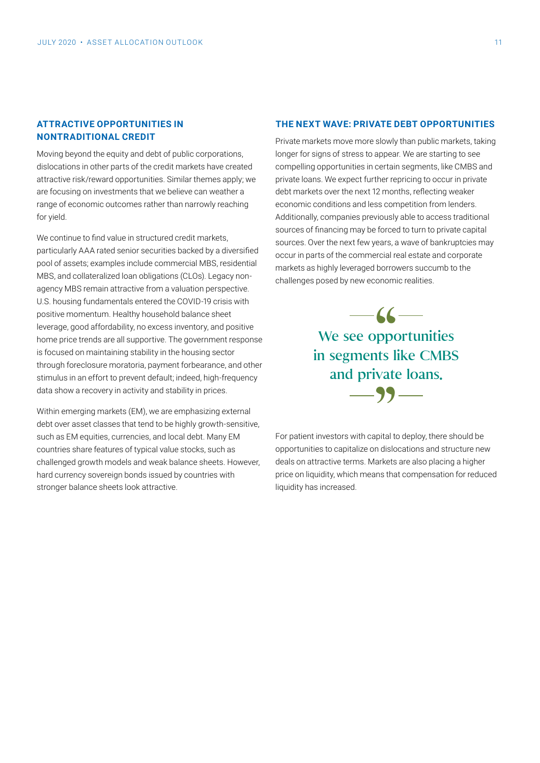#### **ATTRACTIVE OPPORTUNITIES IN NONTRADITIONAL CREDIT**

Moving beyond the equity and debt of public corporations, dislocations in other parts of the credit markets have created attractive risk/reward opportunities. Similar themes apply; we are focusing on investments that we believe can weather a range of economic outcomes rather than narrowly reaching for yield.

We continue to find value in structured credit markets, particularly AAA rated senior securities backed by a diversified pool of assets; examples include commercial MBS, residential MBS, and collateralized loan obligations (CLOs). Legacy nonagency MBS remain attractive from a valuation perspective. U.S. housing fundamentals entered the COVID-19 crisis with positive momentum. Healthy household balance sheet leverage, good affordability, no excess inventory, and positive home price trends are all supportive. The government response is focused on maintaining stability in the housing sector through foreclosure moratoria, payment forbearance, and other stimulus in an effort to prevent default; indeed, high-frequency data show a recovery in activity and stability in prices.

Within emerging markets (EM), we are emphasizing external debt over asset classes that tend to be highly growth-sensitive, such as EM equities, currencies, and local debt. Many EM countries share features of typical value stocks, such as challenged growth models and weak balance sheets. However, hard currency sovereign bonds issued by countries with stronger balance sheets look attractive.

#### **THE NEXT WAVE: PRIVATE DEBT OPPORTUNITIES**

Private markets move more slowly than public markets, taking longer for signs of stress to appear. We are starting to see compelling opportunities in certain segments, like CMBS and private loans. We expect further repricing to occur in private debt markets over the next 12 months, reflecting weaker economic conditions and less competition from lenders. Additionally, companies previously able to access traditional sources of financing may be forced to turn to private capital sources. Over the next few years, a wave of bankruptcies may occur in parts of the commercial real estate and corporate markets as highly leveraged borrowers succumb to the challenges posed by new economic realities.

> 66<br>
> ppo<br>
> ppo<br>
> ts l  $-99-$ We see opportunities in segments like CMBS and private loans.

For patient investors with capital to deploy, there should be opportunities to capitalize on dislocations and structure new deals on attractive terms. Markets are also placing a higher price on liquidity, which means that compensation for reduced liquidity has increased.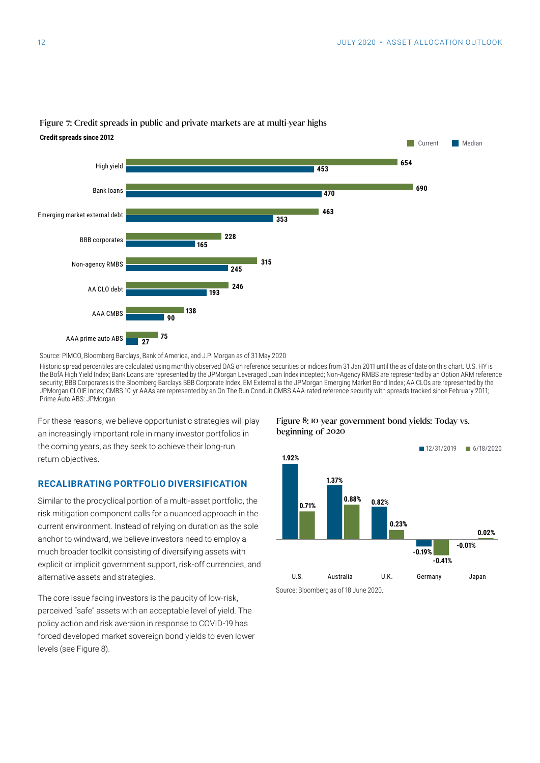

#### Figure 7: Credit spreads in public and private markets are at multi-year highs

Source: PIMCO, Bloomberg Barclays, Bank of America, and J.P. Morgan as of 31 May 2020

Historic spread percentiles are calculated using monthly observed OAS on reference securities or indices from 31 Jan 2011 until the as of date on this chart. U.S. HY is the BofA High Yield Index; Bank Loans are represented by the JPMorgan Leveraged Loan Index incepted; Non-Agency RMBS are represented by an Option ARM reference security; BBB Corporates is the Bloomberg Barclays BBB Corporate Index, EM External is the JPMorgan Emerging Market Bond Index; AA CLOs are represented by the JPMorgan CLOIE Index; CMBS 10-yr AAAs are represented by an On The Run Conduit CMBS AAA-rated reference security with spreads tracked since February 2011; Prime Auto ABS: JPMorgan.

For these reasons, we believe opportunistic strategies will play an increasingly important role in many investor portfolios in the coming years, as they seek to achieve their long-run return objectives.

#### **RECALIBRATING PORTFOLIO DIVERSIFICATION**

Similar to the procyclical portion of a multi-asset portfolio, the risk mitigation component calls for a nuanced approach in the current environment. Instead of relying on duration as the sole anchor to windward, we believe investors need to employ a much broader toolkit consisting of diversifying assets with explicit or implicit government support, risk-off currencies, and alternative assets and strategies.

The core issue facing investors is the paucity of low-risk, perceived "safe" assets with an acceptable level of yield. The policy action and risk aversion in response to COVID-19 has forced developed market sovereign bond yields to even lower levels (see Figure 8).

#### Figure 8: 10-year government bond yields: Today vs. beginning of 2020



Source: Bloomberg as of 18 June 2020.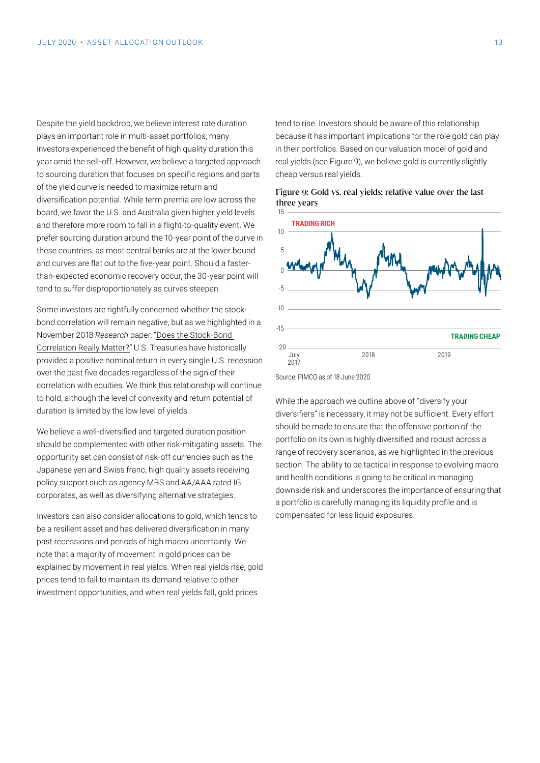Despite the yield backdrop, we believe interest rate duration plays an important role in multi-asset portfolios; many investors experienced the benefit of high quality duration this year amid the sell-off. However, we believe a targeted approach to sourcing duration that focuses on specific regions and parts of the yield curve is needed to maximize return and diversification potential. While term premia are low across the board, we favor the U.S. and Australia given higher yield levels and therefore more room to fall in a flight-to-quality event. We prefer sourcing duration around the 10-year point of the curve in these countries, as most central banks are at the lower bound and curves are flat out to the five-year point. Should a fasterthan-expected economic recovery occur, the 30-year point will tend to suffer disproportionately as curves steepen.

Some investors are rightfully concerned whether the stockbond correlation will remain negative, but as we highlighted in a November 2018 *Research* paper, "[Does the Stock-Bond](https://global.pimco.com/en-gbl/insights/viewpoints/does-the-stock-bond-correlation-really-matter)  [Correlation Really Matter?"](https://global.pimco.com/en-gbl/insights/viewpoints/does-the-stock-bond-correlation-really-matter) U.S. Treasuries have historically provided a positive nominal return in every single U.S. recession over the past five decades regardless of the sign of their correlation with equities. We think this relationship will continue to hold, although the level of convexity and return potential of duration is limited by the low level of yields.

We believe a well-diversified and targeted duration position should be complemented with other risk-mitigating assets. The opportunity set can consist of risk-off currencies such as the Japanese yen and Swiss franc, high quality assets receiving policy support such as agency MBS and AA/AAA rated IG corporates, as well as diversifying alternative strategies.

Investors can also consider allocations to gold, which tends to be a resilient asset and has delivered diversification in many past recessions and periods of high macro uncertainty. We note that a majority of movement in gold prices can be explained by movement in real yields. When real yields rise, gold prices tend to fall to maintain its demand relative to other investment opportunities, and when real yields fall, gold prices

tend to rise. Investors should be aware of this relationship because it has important implications for the role gold can play in their portfolios. Based on our valuation model of gold and real yields (see Figure 9), we believe gold is currently slightly cheap versus real yields.





Source: PIMCO as of 18 June 2020

While the approach we outline above of "diversify your diversifiers" is necessary, it may not be sufficient. Every effort should be made to ensure that the offensive portion of the portfolio on its own is highly diversified and robust across a range of recovery scenarios, as we highlighted in the previous section. The ability to be tactical in response to evolving macro and health conditions is going to be critical in managing downside risk and underscores the importance of ensuring that a portfolio is carefully managing its liquidity profile and is compensated for less liquid exposures.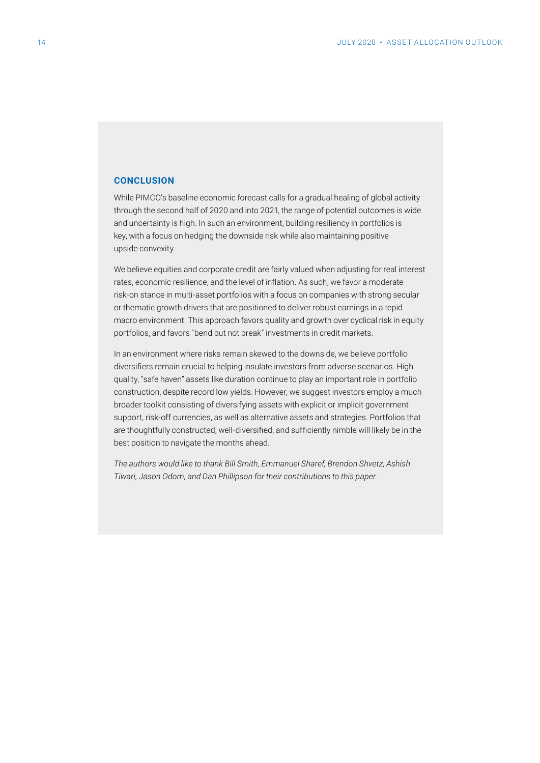#### **CONCLUSION**

While PIMCO's baseline economic forecast calls for a gradual healing of global activity through the second half of 2020 and into 2021, the range of potential outcomes is wide and uncertainty is high. In such an environment, building resiliency in portfolios is key, with a focus on hedging the downside risk while also maintaining positive upside convexity.

We believe equities and corporate credit are fairly valued when adjusting for real interest rates, economic resilience, and the level of inflation. As such, we favor a moderate risk-on stance in multi-asset portfolios with a focus on companies with strong secular or thematic growth drivers that are positioned to deliver robust earnings in a tepid macro environment. This approach favors quality and growth over cyclical risk in equity portfolios, and favors "bend but not break" investments in credit markets.

In an environment where risks remain skewed to the downside, we believe portfolio diversifiers remain crucial to helping insulate investors from adverse scenarios. High quality, "safe haven" assets like duration continue to play an important role in portfolio construction, despite record low yields. However, we suggest investors employ a much broader toolkit consisting of diversifying assets with explicit or implicit government support, risk-off currencies, as well as alternative assets and strategies. Portfolios that are thoughtfully constructed, well-diversified, and sufficiently nimble will likely be in the best position to navigate the months ahead.

*The authors would like to thank Bill Smith, Emmanuel Sharef, Brendon Shvetz, Ashish Tiwari, Jason Odom, and Dan Phillipson for their contributions to this paper.*